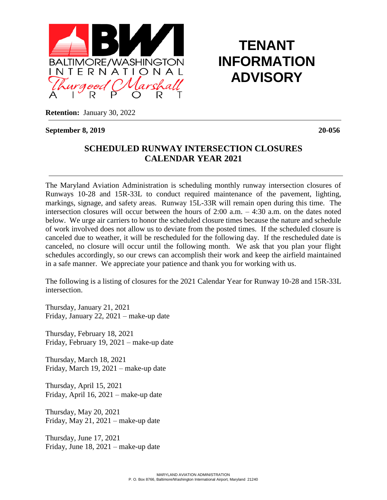

## **TENANT INFORMATION ADVISORY**

**Retention:** January 30, 2022

**September 8, 2019 20-056**

## **SCHEDULED RUNWAY INTERSECTION CLOSURES CALENDAR YEAR 2021**

 The Maryland Aviation Administration is scheduling monthly runway intersection closures of Runways 10-28 and 15R-33L to conduct required maintenance of the pavement, lighting, markings, signage, and safety areas. Runway 15L-33R will remain open during this time. The intersection closures will occur between the hours of 2:00 a.m. – 4:30 a.m. on the dates noted below. We urge air carriers to honor the scheduled closure times because the nature and schedule of work involved does not allow us to deviate from the posted times. If the scheduled closure is canceled due to weather, it will be rescheduled for the following day. If the rescheduled date is canceled, no closure will occur until the following month. We ask that you plan your flight schedules accordingly, so our crews can accomplish their work and keep the airfield maintained in a safe manner. We appreciate your patience and thank you for working with us.

The following is a listing of closures for the 2021 Calendar Year for Runway 10-28 and 15R-33L intersection.

Thursday, January 21, 2021 Friday, January 22, 2021 – make-up date

Thursday, February 18, 2021 Friday, February 19, 2021 – make-up date

Thursday, March 18, 2021 Friday, March 19, 2021 – make-up date

Thursday, April 15, 2021 Friday, April 16, 2021 – make-up date

Thursday, May 20, 2021 Friday, May 21, 2021 – make-up date

Thursday, June 17, 2021 Friday, June 18, 2021 – make-up date